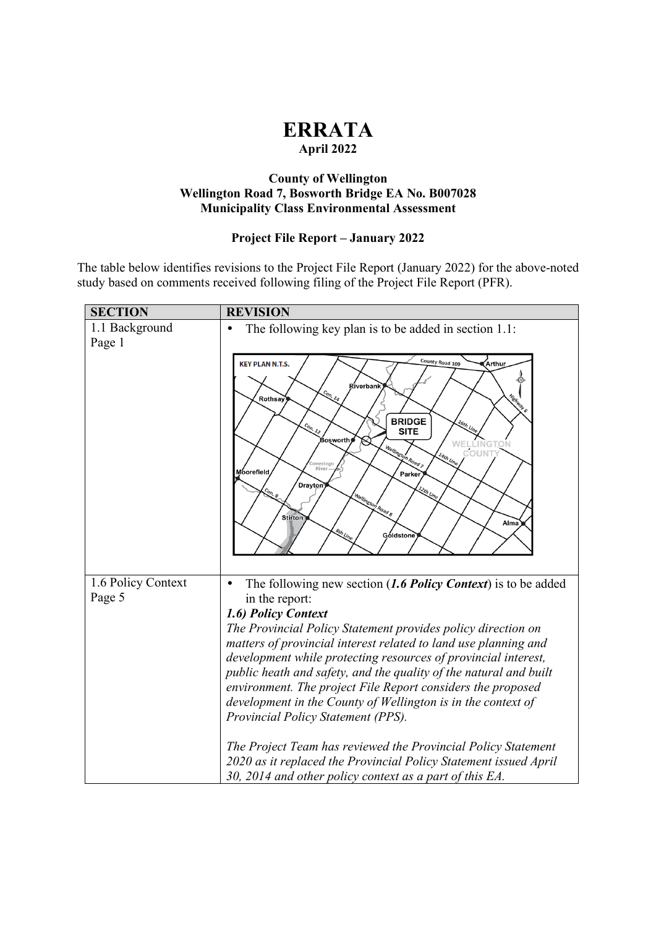## **ERRATA April 2022**

## **County of Wellington Wellington Road 7, Bosworth Bridge EA No. B007028 Municipality Class Environmental Assessment**

## **Project File Report – January 2022**

The table below identifies revisions to the Project File Report (January 2022) for the above-noted study based on comments received following filing of the Project File Report (PFR).

| <b>SECTION</b>               | <b>REVISION</b>                                                                                                                                                                                                                                                                                                                                                                                                                                                                                                                                         |
|------------------------------|---------------------------------------------------------------------------------------------------------------------------------------------------------------------------------------------------------------------------------------------------------------------------------------------------------------------------------------------------------------------------------------------------------------------------------------------------------------------------------------------------------------------------------------------------------|
| 1.1 Background<br>Page 1     | The following key plan is to be added in section 1.1:                                                                                                                                                                                                                                                                                                                                                                                                                                                                                                   |
|                              | County Road 109<br>,<br>Arthur<br><b>KEY PLAN N.T.S.</b><br>Riverbank<br>$\frac{c_{o_{n_i}}}{\cdot}$<br>Highway 6<br>Rothsay<br><b>BRIDGE</b><br>16th Line<br>Con. 12<br><b>SITE</b><br>Bosworth,<br>WELLINGTON<br>COUNTY<br>Wellington Road ><br>14th Line<br>Conestogo<br>River<br>Moorefield<br>Parker<br>Drayton<br>Wellingtor<br>I Road 8<br><b>Stirton</b><br>Alma<br><b>8th Line</b><br>Góldstone                                                                                                                                                |
| 1.6 Policy Context<br>Page 5 | The following new section $(1.6$ Policy Context) is to be added<br>in the report:<br>1.6) Policy Context<br>The Provincial Policy Statement provides policy direction on<br>matters of provincial interest related to land use planning and<br>development while protecting resources of provincial interest,<br>public heath and safety, and the quality of the natural and built<br>environment. The project File Report considers the proposed<br>development in the County of Wellington is in the context of<br>Provincial Policy Statement (PPS). |
|                              | The Project Team has reviewed the Provincial Policy Statement<br>2020 as it replaced the Provincial Policy Statement issued April<br>30, 2014 and other policy context as a part of this EA.                                                                                                                                                                                                                                                                                                                                                            |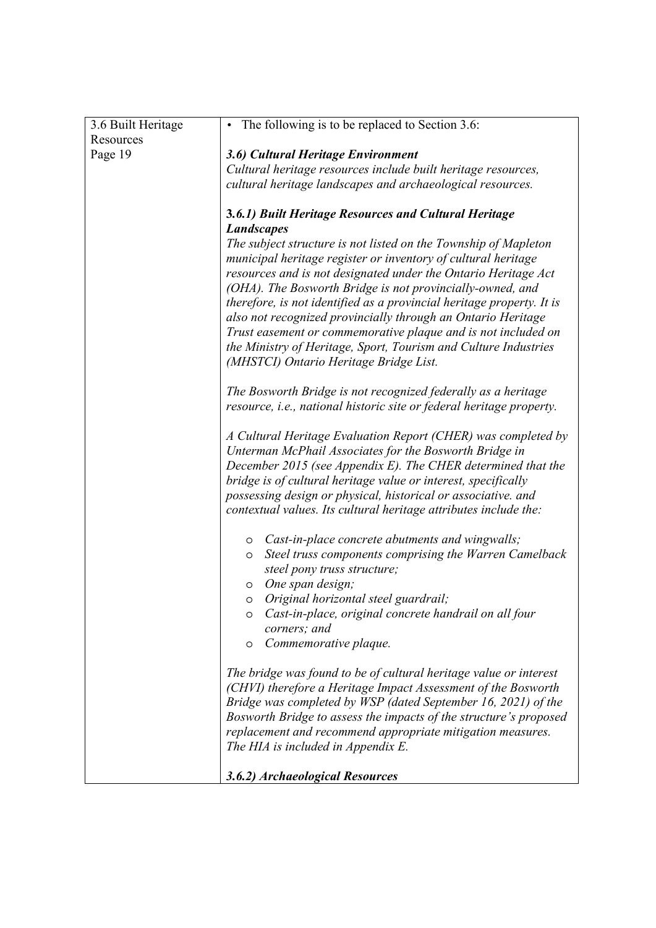| 3.6 Built Heritage | • The following is to be replaced to Section 3.6:                                                                                                                                                                                                                                                                                                                                                                                                                         |
|--------------------|---------------------------------------------------------------------------------------------------------------------------------------------------------------------------------------------------------------------------------------------------------------------------------------------------------------------------------------------------------------------------------------------------------------------------------------------------------------------------|
| Resources          |                                                                                                                                                                                                                                                                                                                                                                                                                                                                           |
| Page 19            | 3.6) Cultural Heritage Environment                                                                                                                                                                                                                                                                                                                                                                                                                                        |
|                    | Cultural heritage resources include built heritage resources,                                                                                                                                                                                                                                                                                                                                                                                                             |
|                    | cultural heritage landscapes and archaeological resources.                                                                                                                                                                                                                                                                                                                                                                                                                |
|                    | 3.6.1) Built Heritage Resources and Cultural Heritage                                                                                                                                                                                                                                                                                                                                                                                                                     |
|                    | <b>Landscapes</b>                                                                                                                                                                                                                                                                                                                                                                                                                                                         |
|                    | The subject structure is not listed on the Township of Mapleton<br>municipal heritage register or inventory of cultural heritage<br>resources and is not designated under the Ontario Heritage Act<br>(OHA). The Bosworth Bridge is not provincially-owned, and<br>therefore, is not identified as a provincial heritage property. It is<br>also not recognized provincially through an Ontario Heritage<br>Trust easement or commemorative plaque and is not included on |
|                    | the Ministry of Heritage, Sport, Tourism and Culture Industries<br>(MHSTCI) Ontario Heritage Bridge List.                                                                                                                                                                                                                                                                                                                                                                 |
|                    |                                                                                                                                                                                                                                                                                                                                                                                                                                                                           |
|                    | The Bosworth Bridge is not recognized federally as a heritage<br>resource, i.e., national historic site or federal heritage property.                                                                                                                                                                                                                                                                                                                                     |
|                    | A Cultural Heritage Evaluation Report (CHER) was completed by<br>Unterman McPhail Associates for the Bosworth Bridge in<br>December 2015 (see Appendix E). The CHER determined that the<br>bridge is of cultural heritage value or interest, specifically<br>possessing design or physical, historical or associative. and<br>contextual values. Its cultural heritage attributes include the:                                                                            |
|                    | o Cast-in-place concrete abutments and wingwalls;<br>Steel truss components comprising the Warren Camelback<br>$\circ$<br>steel pony truss structure;<br>o One span design;                                                                                                                                                                                                                                                                                               |
|                    | o Original horizontal steel guardrail;                                                                                                                                                                                                                                                                                                                                                                                                                                    |
|                    | Cast-in-place, original concrete handrail on all four<br>$\circ$<br>corners; and                                                                                                                                                                                                                                                                                                                                                                                          |
|                    | Commemorative plaque.<br>$\circ$                                                                                                                                                                                                                                                                                                                                                                                                                                          |
|                    | The bridge was found to be of cultural heritage value or interest<br>(CHVI) therefore a Heritage Impact Assessment of the Bosworth<br>Bridge was completed by WSP (dated September 16, 2021) of the<br>Bosworth Bridge to assess the impacts of the structure's proposed<br>replacement and recommend appropriate mitigation measures.<br>The HIA is included in Appendix E.                                                                                              |
|                    | 3.6.2) Archaeological Resources                                                                                                                                                                                                                                                                                                                                                                                                                                           |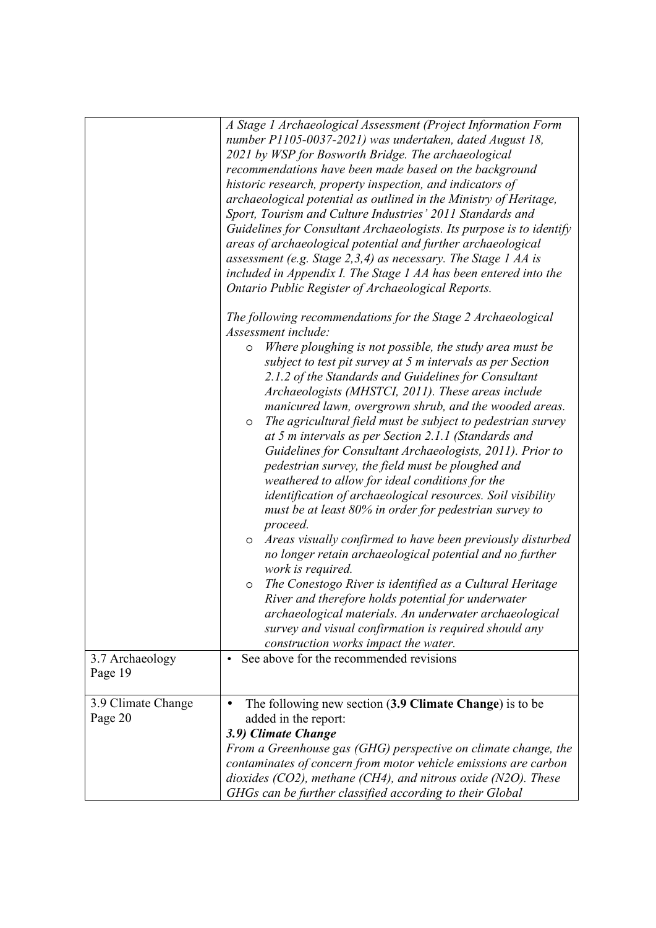|                               | A Stage 1 Archaeological Assessment (Project Information Form<br>number P1105-0037-2021) was undertaken, dated August 18,<br>2021 by WSP for Bosworth Bridge. The archaeological<br>recommendations have been made based on the background<br>historic research, property inspection, and indicators of<br>archaeological potential as outlined in the Ministry of Heritage,<br>Sport, Tourism and Culture Industries' 2011 Standards and<br>Guidelines for Consultant Archaeologists. Its purpose is to identify<br>areas of archaeological potential and further archaeological<br>assessment (e.g. Stage 2, 3, 4) as necessary. The Stage 1 AA is<br>included in Appendix I. The Stage 1 AA has been entered into the<br>Ontario Public Register of Archaeological Reports.                                                                                                                                                                                                                                                                     |
|-------------------------------|----------------------------------------------------------------------------------------------------------------------------------------------------------------------------------------------------------------------------------------------------------------------------------------------------------------------------------------------------------------------------------------------------------------------------------------------------------------------------------------------------------------------------------------------------------------------------------------------------------------------------------------------------------------------------------------------------------------------------------------------------------------------------------------------------------------------------------------------------------------------------------------------------------------------------------------------------------------------------------------------------------------------------------------------------|
|                               | The following recommendations for the Stage 2 Archaeological                                                                                                                                                                                                                                                                                                                                                                                                                                                                                                                                                                                                                                                                                                                                                                                                                                                                                                                                                                                       |
|                               | Assessment include:                                                                                                                                                                                                                                                                                                                                                                                                                                                                                                                                                                                                                                                                                                                                                                                                                                                                                                                                                                                                                                |
|                               | Where ploughing is not possible, the study area must be<br>$\circ$<br>subject to test pit survey at 5 m intervals as per Section<br>2.1.2 of the Standards and Guidelines for Consultant<br>Archaeologists (MHSTCI, 2011). These areas include<br>manicured lawn, overgrown shrub, and the wooded areas.<br>The agricultural field must be subject to pedestrian survey<br>$\circ$<br>at 5 m intervals as per Section 2.1.1 (Standards and<br>Guidelines for Consultant Archaeologists, 2011). Prior to<br>pedestrian survey, the field must be ploughed and<br>weathered to allow for ideal conditions for the<br><i>identification of archaeological resources. Soil visibility</i><br>must be at least 80% in order for pedestrian survey to<br>proceed.<br>Areas visually confirmed to have been previously disturbed<br>$\circ$<br>no longer retain archaeological potential and no further<br>work is required.<br>The Conestogo River is identified as a Cultural Heritage<br>$\circ$<br>River and therefore holds potential for underwater |
|                               | archaeological materials. An underwater archaeological                                                                                                                                                                                                                                                                                                                                                                                                                                                                                                                                                                                                                                                                                                                                                                                                                                                                                                                                                                                             |
|                               | survey and visual confirmation is required should any                                                                                                                                                                                                                                                                                                                                                                                                                                                                                                                                                                                                                                                                                                                                                                                                                                                                                                                                                                                              |
|                               | construction works impact the water.                                                                                                                                                                                                                                                                                                                                                                                                                                                                                                                                                                                                                                                                                                                                                                                                                                                                                                                                                                                                               |
| 3.7 Archaeology               | See above for the recommended revisions                                                                                                                                                                                                                                                                                                                                                                                                                                                                                                                                                                                                                                                                                                                                                                                                                                                                                                                                                                                                            |
| Page 19                       |                                                                                                                                                                                                                                                                                                                                                                                                                                                                                                                                                                                                                                                                                                                                                                                                                                                                                                                                                                                                                                                    |
| 3.9 Climate Change<br>Page 20 | The following new section (3.9 Climate Change) is to be<br>added in the report:<br>3.9) Climate Change                                                                                                                                                                                                                                                                                                                                                                                                                                                                                                                                                                                                                                                                                                                                                                                                                                                                                                                                             |
|                               | From a Greenhouse gas (GHG) perspective on climate change, the                                                                                                                                                                                                                                                                                                                                                                                                                                                                                                                                                                                                                                                                                                                                                                                                                                                                                                                                                                                     |
|                               | contaminates of concern from motor vehicle emissions are carbon                                                                                                                                                                                                                                                                                                                                                                                                                                                                                                                                                                                                                                                                                                                                                                                                                                                                                                                                                                                    |
|                               | dioxides (CO2), methane (CH4), and nitrous oxide (N2O). These<br>GHGs can be further classified according to their Global                                                                                                                                                                                                                                                                                                                                                                                                                                                                                                                                                                                                                                                                                                                                                                                                                                                                                                                          |
|                               |                                                                                                                                                                                                                                                                                                                                                                                                                                                                                                                                                                                                                                                                                                                                                                                                                                                                                                                                                                                                                                                    |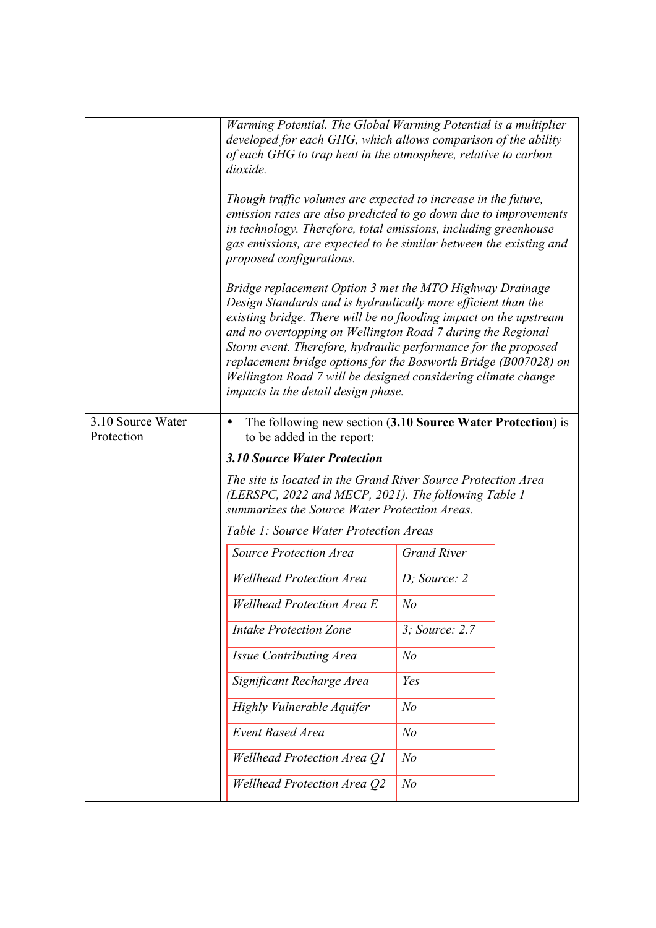|                                 | Warming Potential. The Global Warming Potential is a multiplier<br>developed for each GHG, which allows comparison of the ability<br>of each GHG to trap heat in the atmosphere, relative to carbon<br>dioxide.                                                                                                                                                                                                                                                                                                   |                    |  |
|---------------------------------|-------------------------------------------------------------------------------------------------------------------------------------------------------------------------------------------------------------------------------------------------------------------------------------------------------------------------------------------------------------------------------------------------------------------------------------------------------------------------------------------------------------------|--------------------|--|
|                                 | Though traffic volumes are expected to increase in the future,<br>emission rates are also predicted to go down due to improvements<br>in technology. Therefore, total emissions, including greenhouse<br>gas emissions, are expected to be similar between the existing and<br>proposed configurations.                                                                                                                                                                                                           |                    |  |
|                                 | Bridge replacement Option 3 met the MTO Highway Drainage<br>Design Standards and is hydraulically more efficient than the<br>existing bridge. There will be no flooding impact on the upstream<br>and no overtopping on Wellington Road 7 during the Regional<br>Storm event. Therefore, hydraulic performance for the proposed<br>replacement bridge options for the Bosworth Bridge (B007028) on<br>Wellington Road 7 will be designed considering climate change<br><i>impacts in the detail design phase.</i> |                    |  |
| 3.10 Source Water<br>Protection | The following new section (3.10 Source Water Protection) is<br>to be added in the report:                                                                                                                                                                                                                                                                                                                                                                                                                         |                    |  |
|                                 | <b>3.10 Source Water Protection</b>                                                                                                                                                                                                                                                                                                                                                                                                                                                                               |                    |  |
|                                 | The site is located in the Grand River Source Protection Area<br>(LERSPC, 2022 and MECP, 2021). The following Table 1<br>summarizes the Source Water Protection Areas.                                                                                                                                                                                                                                                                                                                                            |                    |  |
|                                 | Table 1: Source Water Protection Areas                                                                                                                                                                                                                                                                                                                                                                                                                                                                            |                    |  |
|                                 | <b>Source Protection Area</b>                                                                                                                                                                                                                                                                                                                                                                                                                                                                                     | <b>Grand River</b> |  |
|                                 | <b>Wellhead Protection Area</b>                                                                                                                                                                                                                                                                                                                                                                                                                                                                                   | $D$ ; Source: 2    |  |
|                                 | <b>Wellhead Protection Area E</b>                                                                                                                                                                                                                                                                                                                                                                                                                                                                                 | N <sub>o</sub>     |  |
|                                 | <b>Intake Protection Zone</b>                                                                                                                                                                                                                                                                                                                                                                                                                                                                                     | 3; Source: 2.7     |  |
|                                 | Issue Contributing Area                                                                                                                                                                                                                                                                                                                                                                                                                                                                                           | N <sub>o</sub>     |  |
|                                 | Significant Recharge Area                                                                                                                                                                                                                                                                                                                                                                                                                                                                                         | Yes                |  |
|                                 | Highly Vulnerable Aquifer                                                                                                                                                                                                                                                                                                                                                                                                                                                                                         | N <sub>o</sub>     |  |
|                                 | <b>Event Based Area</b>                                                                                                                                                                                                                                                                                                                                                                                                                                                                                           | N <sub>o</sub>     |  |
|                                 | Wellhead Protection Area Q1                                                                                                                                                                                                                                                                                                                                                                                                                                                                                       | N <sub>o</sub>     |  |
|                                 | Wellhead Protection Area Q2                                                                                                                                                                                                                                                                                                                                                                                                                                                                                       | N <sub>o</sub>     |  |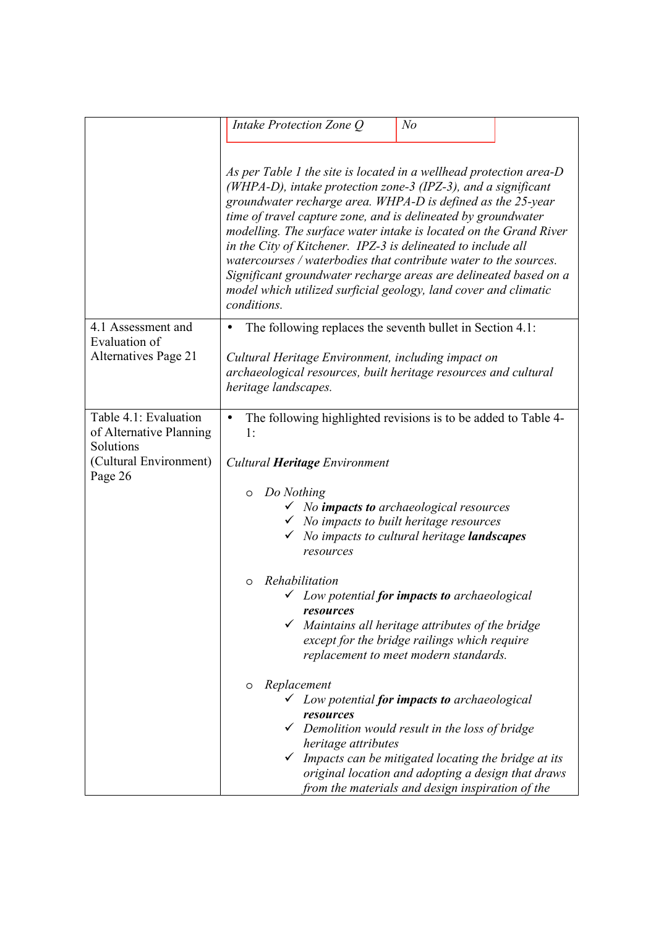|                                                                                                    | Intake Protection Zone Q                                                                                                                                                                                                                                                                                                                                                                                                                                                                                                                                                                                            | N <sub>o</sub>                                                                                                                           |  |
|----------------------------------------------------------------------------------------------------|---------------------------------------------------------------------------------------------------------------------------------------------------------------------------------------------------------------------------------------------------------------------------------------------------------------------------------------------------------------------------------------------------------------------------------------------------------------------------------------------------------------------------------------------------------------------------------------------------------------------|------------------------------------------------------------------------------------------------------------------------------------------|--|
|                                                                                                    | As per Table 1 the site is located in a wellhead protection area-D<br>(WHPA-D), intake protection zone-3 (IPZ-3), and a significant<br>groundwater recharge area. WHPA-D is defined as the 25-year<br>time of travel capture zone, and is delineated by groundwater<br>modelling. The surface water intake is located on the Grand River<br>in the City of Kitchener. IPZ-3 is delineated to include all<br>watercourses / waterbodies that contribute water to the sources.<br>Significant groundwater recharge areas are delineated based on a<br>model which utilized surficial geology, land cover and climatic |                                                                                                                                          |  |
| 4.1 Assessment and                                                                                 | conditions.<br>The following replaces the seventh bullet in Section 4.1:                                                                                                                                                                                                                                                                                                                                                                                                                                                                                                                                            |                                                                                                                                          |  |
| Evaluation of<br>Alternatives Page 21                                                              | Cultural Heritage Environment, including impact on<br>archaeological resources, built heritage resources and cultural<br>heritage landscapes.                                                                                                                                                                                                                                                                                                                                                                                                                                                                       |                                                                                                                                          |  |
| Table 4.1: Evaluation<br>of Alternative Planning<br>Solutions<br>(Cultural Environment)<br>Page 26 | The following highlighted revisions is to be added to Table 4-<br>1:<br>Cultural <b>Heritage</b> Environment<br>Do Nothing<br>$\circ$<br>√ No impacts to archaeological resources<br>$\checkmark$ No impacts to built heritage resources<br>resources                                                                                                                                                                                                                                                                                                                                                               | No impacts to cultural heritage landscapes                                                                                               |  |
|                                                                                                    | Rehabilitation<br>$\Omega$<br>$\checkmark$ Low potential <b>for impacts to</b> archaeological<br>resources                                                                                                                                                                                                                                                                                                                                                                                                                                                                                                          | Maintains all heritage attributes of the bridge<br>except for the bridge railings which require<br>replacement to meet modern standards. |  |
|                                                                                                    | Replacement<br>O<br>$\checkmark$ Low potential for impacts to archaeological<br>resources<br>$\checkmark$ Demolition would result in the loss of bridge<br>heritage attributes<br>$\checkmark$ Impacts can be mitigated locating the bridge at its                                                                                                                                                                                                                                                                                                                                                                  | original location and adopting a design that draws<br>from the materials and design inspiration of the                                   |  |